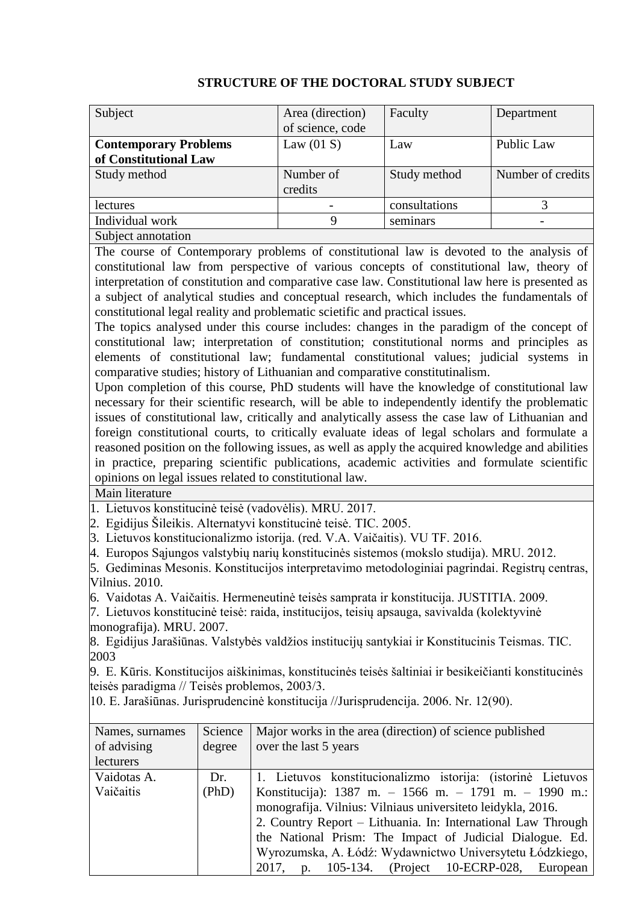| Subject                      | Area (direction) | Faculty       | Department        |
|------------------------------|------------------|---------------|-------------------|
|                              | of science, code |               |                   |
| <b>Contemporary Problems</b> | Law $(01 S)$     | Law           | <b>Public Law</b> |
| of Constitutional Law        |                  |               |                   |
| Study method                 | Number of        | Study method  | Number of credits |
|                              | credits          |               |                   |
| lectures                     |                  | consultations |                   |
| Individual work              | Q                | seminars      |                   |
| Subject annotation           |                  |               |                   |

## **STRUCTURE OF THE DOCTORAL STUDY SUBJECT**

The course of Contemporary problems of constitutional law is devoted to the analysis of constitutional law from perspective of various concepts of constitutional law, theory of interpretation of constitution and comparative case law. Constitutional law here is presented as a subject of analytical studies and conceptual research, which includes the fundamentals of constitutional legal reality and problematic scietific and practical issues.

The topics analysed under this course includes: changes in the paradigm of the concept of constitutional law; interpretation of constitution; constitutional norms and principles as elements of constitutional law; fundamental constitutional values; judicial systems in comparative studies; history of Lithuanian and comparative constitutinalism.

Upon completion of this course, PhD students will have the knowledge of constitutional law necessary for their scientific research, will be able to independently identify the problematic issues of constitutional law, critically and analytically assess the case law of Lithuanian and foreign constitutional courts, to critically evaluate ideas of legal scholars and formulate a reasoned position on the following issues, as well as apply the acquired knowledge and abilities in practice, preparing scientific publications, academic activities and formulate scientific opinions on legal issues related to constitutional law.

Main literature

1. Lietuvos konstitucinė teisė (vadovėlis). MRU. 2017.

2. Egidijus Šileikis. Alternatyvi konstitucinė teisė. TIC. 2005.

3. Lietuvos konstitucionalizmo istorija. (red. V.A. Vaičaitis). VU TF. 2016.

4. Europos Sąjungos valstybių narių konstitucinės sistemos (mokslo studija). MRU. 2012.

5. Gediminas Mesonis. Konstitucijos interpretavimo metodologiniai pagrindai. Registrų centras, Vilnius. 2010.

6. Vaidotas A. Vaičaitis. Hermeneutinė teisės samprata ir konstitucija. JUSTITIA. 2009.

7. Lietuvos konstitucinė teisė: raida, institucijos, teisių apsauga, savivalda (kolektyvinė monografija). MRU. 2007.

8. Egidijus Jarašiūnas. Valstybės valdžios institucijų santykiai ir Konstitucinis Teismas. TIC. 2003

9. E. Kūris. Konstitucijos aiškinimas, konstitucinės teisės šaltiniai ir besikeičianti konstitucinės teisės paradigma // Teisės problemos, 2003/3.

10. E. Jarašiūnas. Jurisprudencinė konstitucija //Jurisprudencija. 2006. Nr. 12(90).

| Names, surnames | Science | Major works in the area (direction) of science published     |
|-----------------|---------|--------------------------------------------------------------|
| of advising     | degree  | over the last 5 years                                        |
| lecturers       |         |                                                              |
| Vaidotas A.     | Dr.     | 1. Lietuvos konstitucionalizmo istorija: (istorinė Lietuvos  |
| Vaičaitis       | (PhD)   | Konstitucija): 1387 m. – 1566 m. – 1791 m. – 1990 m.:        |
|                 |         | monografija. Vilnius: Vilniaus universiteto leidykla, 2016.  |
|                 |         | 2. Country Report - Lithuania. In: International Law Through |
|                 |         | the National Prism: The Impact of Judicial Dialogue. Ed.     |
|                 |         | Wyrozumska, A. Łódź: Wydawnictwo Universytetu Łódzkiego,     |
|                 |         | 2017, p. 105-134. (Project 10-ECRP-028,<br>European          |